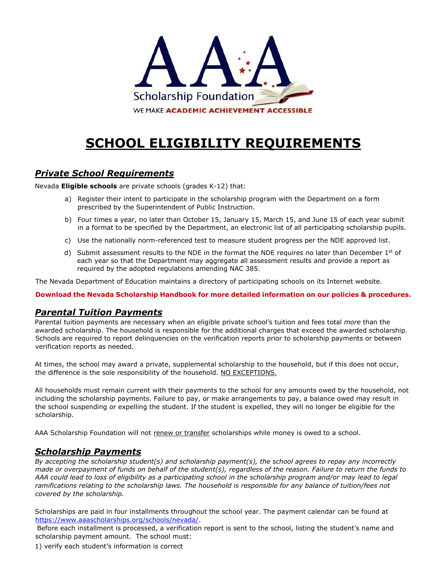

# **SCHOOL ELIGIBILITY REQUIREMENTS**

# *Private School Requirements*

Nevada **Eligible schools** are private schools (grades K-12) that:

- a) Register their intent to participate in the scholarship program with the Department on a form prescribed by the Superintendent of Public Instruction.
- b) Four times a year, no later than October 15, January 15, March 15, and June 15 of each year submit in a format to be specified by the Department, an electronic list of all participating scholarship pupils.
- c) Use the nationally norm-referenced test to measure student progress per the NDE approved list.
- d) Submit assessment results to the NDE in the format the NDE requires no later than December  $1<sup>st</sup>$  of each year so that the Department may aggregate all assessment results and provide a report as required by the adopted regulations amending NAC 385.

The Nevada Department of Education maintains a directory of participating schools on its Internet website.

**Download the Nevada Scholarship Handbook for more detailed information on our policies & procedures.**

## *Parental Tuition Payments*

Parental tuition payments are necessary when an eligible private school's tuition and fees total *more* than the awarded scholarship. The household is responsible for the additional charges that exceed the awarded scholarship. Schools are required to report delinquencies on the verification reports prior to scholarship payments or between verification reports as needed.

At times, the school may award a private, supplemental scholarship to the household, but if this does not occur, the difference is the sole responsibility of the household. NO EXCEPTIONS.

All households must remain current with their payments to the school for any amounts owed by the household, not including the scholarship payments. Failure to pay, or make arrangements to pay, a balance owed may result in the school suspending or expelling the student. If the student is expelled, they will no longer be eligible for the scholarship.

AAA Scholarship Foundation will not renew or transfer scholarships while money is owed to a school.

## *Scholarship Payments*

*By accepting the scholarship student(s) and scholarship payment(s), the school agrees to repay any incorrectly made or overpayment of funds on behalf of the student(s), regardless of the reason. Failure to return the funds to AAA could lead to loss of eligibility as a participating school in the scholarship program and/or may lead to legal*  ramifications relating to the scholarship laws. The household is responsible for any balance of tuition/fees not *covered by the scholarship.*

Scholarships are paid in four installments throughout the school year. The payment calendar can be found at <https://www.aaascholarships.org/schools/nevada/>[.](http://aaascholarships.org/SchoolInformation.html)

Before each installment is processed, a verification report is sent to the school, listing the student's name and scholarship payment amount. The school must:

1) verify each student's information is correct